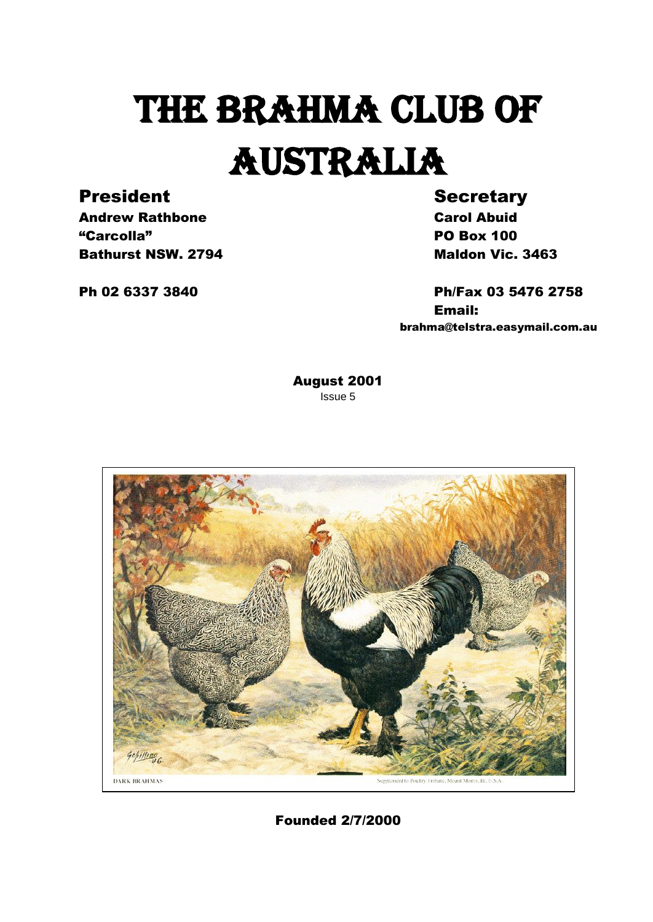# THE BRAHMA CLUB OF AUSTRALIA

## President Secretary

Andrew Rathbone **Carol Abuid** "Carcolla" PO Box 100 **Bathurst NSW. 2794** Maldon Vic. 3463

Ph 02 6337 3840 Ph/Fax 03 5476 2758 Email: brahma@telstra.easymail.com.au

> August 2001 Issue 5



Founded 2/7/2000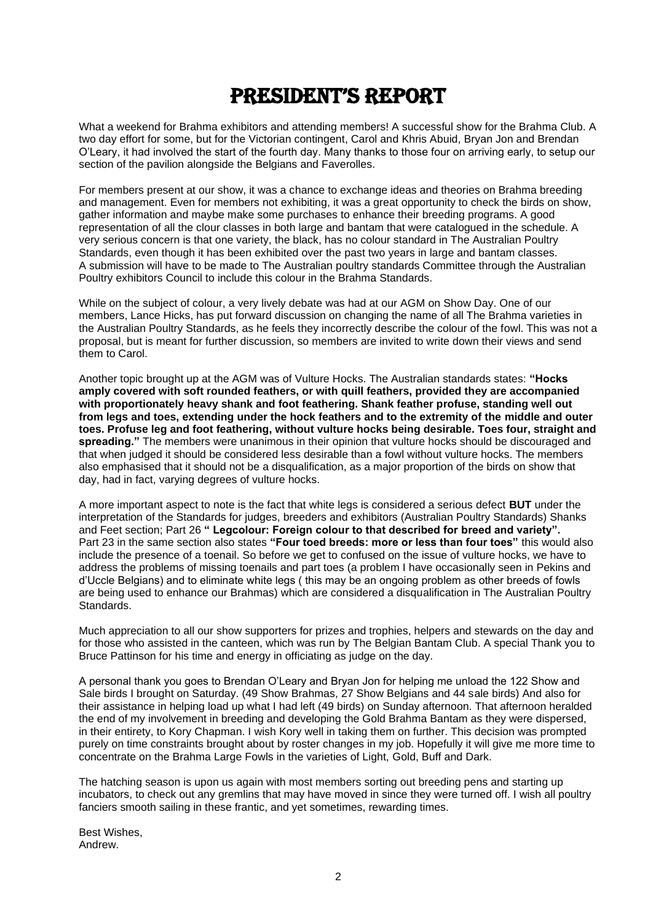## President's rePort

What a weekend for Brahma exhibitors and attending members! A successful show for the Brahma Club. A two day effort for some, but for the Victorian contingent, Carol and Khris Abuid, Bryan Jon and Brendan O'Leary, it had involved the start of the fourth day. Many thanks to those four on arriving early, to setup our section of the pavilion alongside the Belgians and Faverolles.

For members present at our show, it was a chance to exchange ideas and theories on Brahma breeding and management. Even for members not exhibiting, it was a great opportunity to check the birds on show, gather information and maybe make some purchases to enhance their breeding programs. A good representation of all the clour classes in both large and bantam that were catalogued in the schedule. A very serious concern is that one variety, the black, has no colour standard in The Australian Poultry Standards, even though it has been exhibited over the past two years in large and bantam classes. A submission will have to be made to The Australian poultry standards Committee through the Australian Poultry exhibitors Council to include this colour in the Brahma Standards.

While on the subject of colour, a very lively debate was had at our AGM on Show Day. One of our members, Lance Hicks, has put forward discussion on changing the name of all The Brahma varieties in the Australian Poultry Standards, as he feels they incorrectly describe the colour of the fowl. This was not a proposal, but is meant for further discussion, so members are invited to write down their views and send them to Carol.

Another topic brought up at the AGM was of Vulture Hocks. The Australian standards states: **"Hocks amply covered with soft rounded feathers, or with quill feathers, provided they are accompanied with proportionately heavy shank and foot feathering. Shank feather profuse, standing well out from legs and toes, extending under the hock feathers and to the extremity of the middle and outer toes. Profuse leg and foot feathering, without vulture hocks being desirable. Toes four, straight and spreading."** The members were unanimous in their opinion that vulture hocks should be discouraged and that when judged it should be considered less desirable than a fowl without vulture hocks. The members also emphasised that it should not be a disqualification, as a major proportion of the birds on show that day, had in fact, varying degrees of vulture hocks.

A more important aspect to note is the fact that white legs is considered a serious defect **BUT** under the interpretation of the Standards for judges, breeders and exhibitors (Australian Poultry Standards) Shanks and Feet section; Part 26 **" Legcolour: Foreign colour to that described for breed and variety".**  Part 23 in the same section also states **"Four toed breeds: more or less than four toes"** this would also include the presence of a toenail. So before we get to confused on the issue of vulture hocks, we have to address the problems of missing toenails and part toes (a problem I have occasionally seen in Pekins and d'Uccle Belgians) and to eliminate white legs ( this may be an ongoing problem as other breeds of fowls are being used to enhance our Brahmas) which are considered a disqualification in The Australian Poultry Standards.

Much appreciation to all our show supporters for prizes and trophies, helpers and stewards on the day and for those who assisted in the canteen, which was run by The Belgian Bantam Club. A special Thank you to Bruce Pattinson for his time and energy in officiating as judge on the day.

A personal thank you goes to Brendan O'Leary and Bryan Jon for helping me unload the 122 Show and Sale birds I brought on Saturday. (49 Show Brahmas, 27 Show Belgians and 44 sale birds) And also for their assistance in helping load up what I had left (49 birds) on Sunday afternoon. That afternoon heralded the end of my involvement in breeding and developing the Gold Brahma Bantam as they were dispersed, in their entirety, to Kory Chapman. I wish Kory well in taking them on further. This decision was prompted purely on time constraints brought about by roster changes in my job. Hopefully it will give me more time to concentrate on the Brahma Large Fowls in the varieties of Light, Gold, Buff and Dark.

The hatching season is upon us again with most members sorting out breeding pens and starting up incubators, to check out any gremlins that may have moved in since they were turned off. I wish all poultry fanciers smooth sailing in these frantic, and yet sometimes, rewarding times.

Best Wishes, Andrew.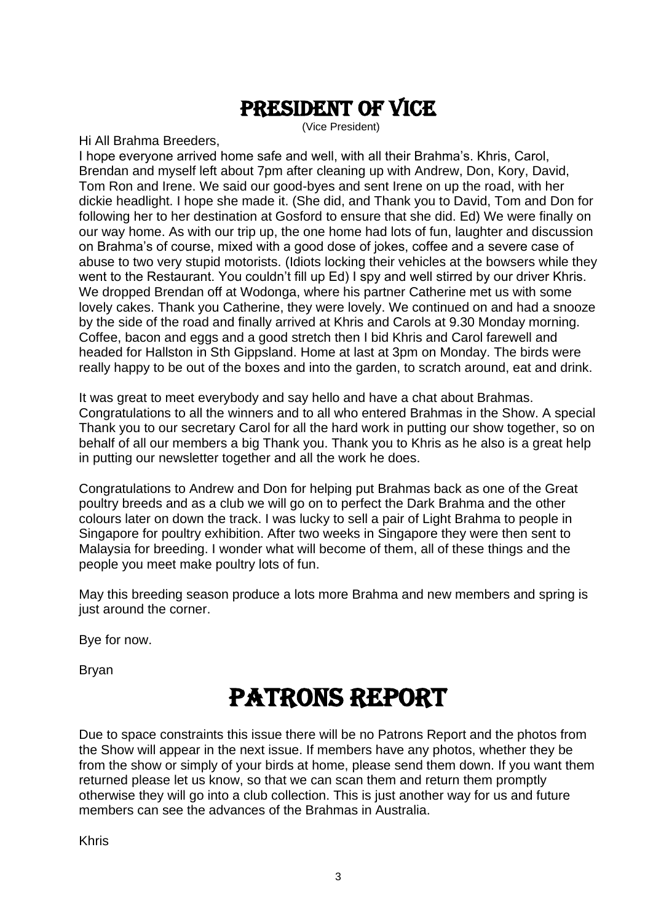## President of vice

(Vice President)

Hi All Brahma Breeders,

I hope everyone arrived home safe and well, with all their Brahma's. Khris, Carol, Brendan and myself left about 7pm after cleaning up with Andrew, Don, Kory, David, Tom Ron and Irene. We said our good-byes and sent Irene on up the road, with her dickie headlight. I hope she made it. (She did, and Thank you to David, Tom and Don for following her to her destination at Gosford to ensure that she did. Ed) We were finally on our way home. As with our trip up, the one home had lots of fun, laughter and discussion on Brahma's of course, mixed with a good dose of jokes, coffee and a severe case of abuse to two very stupid motorists. (Idiots locking their vehicles at the bowsers while they went to the Restaurant. You couldn't fill up Ed) I spy and well stirred by our driver Khris. We dropped Brendan off at Wodonga, where his partner Catherine met us with some lovely cakes. Thank you Catherine, they were lovely. We continued on and had a snooze by the side of the road and finally arrived at Khris and Carols at 9.30 Monday morning. Coffee, bacon and eggs and a good stretch then I bid Khris and Carol farewell and headed for Hallston in Sth Gippsland. Home at last at 3pm on Monday. The birds were really happy to be out of the boxes and into the garden, to scratch around, eat and drink.

It was great to meet everybody and say hello and have a chat about Brahmas. Congratulations to all the winners and to all who entered Brahmas in the Show. A special Thank you to our secretary Carol for all the hard work in putting our show together, so on behalf of all our members a big Thank you. Thank you to Khris as he also is a great help in putting our newsletter together and all the work he does.

Congratulations to Andrew and Don for helping put Brahmas back as one of the Great poultry breeds and as a club we will go on to perfect the Dark Brahma and the other colours later on down the track. I was lucky to sell a pair of Light Brahma to people in Singapore for poultry exhibition. After two weeks in Singapore they were then sent to Malaysia for breeding. I wonder what will become of them, all of these things and the people you meet make poultry lots of fun.

May this breeding season produce a lots more Brahma and new members and spring is just around the corner.

Bye for now.

Bryan

## Patrons report

Due to space constraints this issue there will be no Patrons Report and the photos from the Show will appear in the next issue. If members have any photos, whether they be from the show or simply of your birds at home, please send them down. If you want them returned please let us know, so that we can scan them and return them promptly otherwise they will go into a club collection. This is just another way for us and future members can see the advances of the Brahmas in Australia.

Khris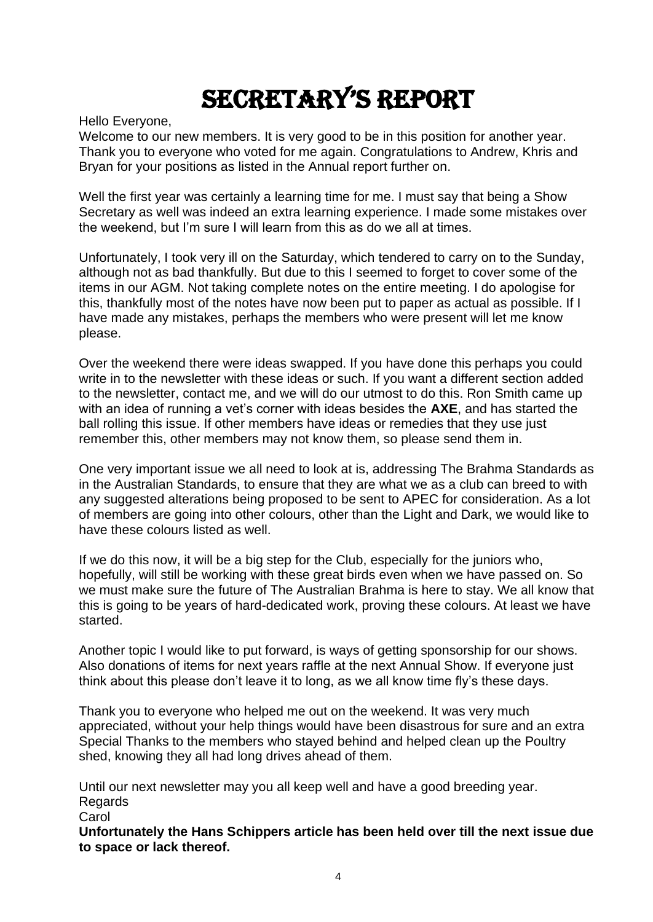## secretary's rePort

Hello Everyone,

Welcome to our new members. It is very good to be in this position for another year. Thank you to everyone who voted for me again. Congratulations to Andrew, Khris and Bryan for your positions as listed in the Annual report further on.

Well the first year was certainly a learning time for me. I must say that being a Show Secretary as well was indeed an extra learning experience. I made some mistakes over the weekend, but I'm sure I will learn from this as do we all at times.

Unfortunately, I took very ill on the Saturday, which tendered to carry on to the Sunday, although not as bad thankfully. But due to this I seemed to forget to cover some of the items in our AGM. Not taking complete notes on the entire meeting. I do apologise for this, thankfully most of the notes have now been put to paper as actual as possible. If I have made any mistakes, perhaps the members who were present will let me know please.

Over the weekend there were ideas swapped. If you have done this perhaps you could write in to the newsletter with these ideas or such. If you want a different section added to the newsletter, contact me, and we will do our utmost to do this. Ron Smith came up with an idea of running a vet's corner with ideas besides the **AXE**, and has started the ball rolling this issue. If other members have ideas or remedies that they use just remember this, other members may not know them, so please send them in.

One very important issue we all need to look at is, addressing The Brahma Standards as in the Australian Standards, to ensure that they are what we as a club can breed to with any suggested alterations being proposed to be sent to APEC for consideration. As a lot of members are going into other colours, other than the Light and Dark, we would like to have these colours listed as well.

If we do this now, it will be a big step for the Club, especially for the juniors who, hopefully, will still be working with these great birds even when we have passed on. So we must make sure the future of The Australian Brahma is here to stay. We all know that this is going to be years of hard-dedicated work, proving these colours. At least we have started.

Another topic I would like to put forward, is ways of getting sponsorship for our shows. Also donations of items for next years raffle at the next Annual Show. If everyone just think about this please don't leave it to long, as we all know time fly's these days.

Thank you to everyone who helped me out on the weekend. It was very much appreciated, without your help things would have been disastrous for sure and an extra Special Thanks to the members who stayed behind and helped clean up the Poultry shed, knowing they all had long drives ahead of them.

Until our next newsletter may you all keep well and have a good breeding year. Regards

**Carol** 

**Unfortunately the Hans Schippers article has been held over till the next issue due to space or lack thereof.**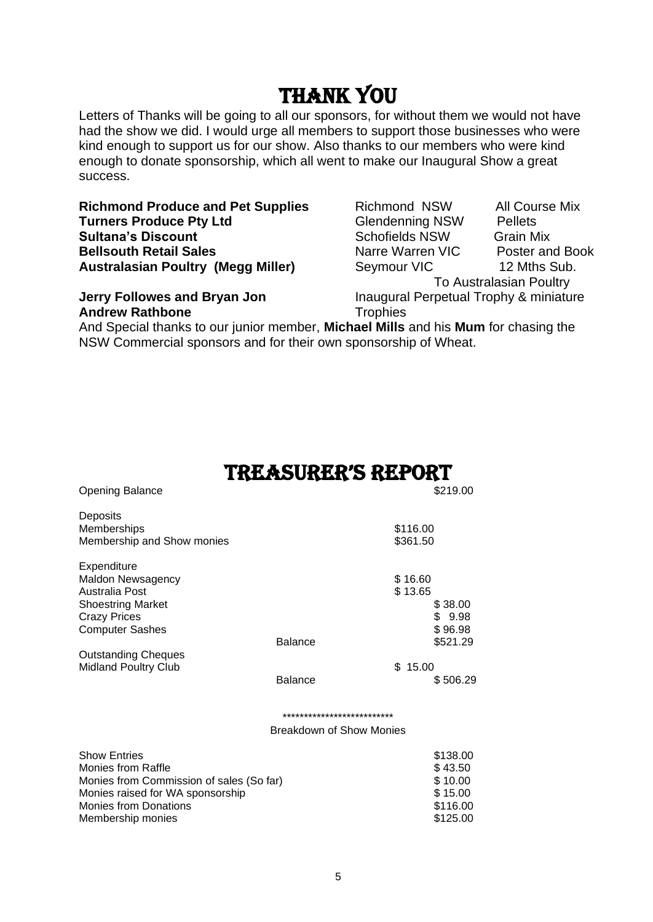## Thank you

Letters of Thanks will be going to all our sponsors, for without them we would not have had the show we did. I would urge all members to support those businesses who were kind enough to support us for our show. Also thanks to our members who were kind enough to donate sponsorship, which all went to make our Inaugural Show a great success.

**Richmond Produce and Pet Supplies** Richmond NSW All Course Mix **Turners Produce Pty Ltd** Glendenning NSW Pellets **Sultana's Discount** Communication Schofields NSW Grain Mix **Bellsouth Retail Sales** Narre Warren VIC Poster and Book **Australasian Poultry (Megg Miller)** Seymour VIC 12 Mths Sub.

**Andrew Rathbone** Trophies

To Australasian Poultry

**Jerry Followes and Bryan Jon Inaugural Perpetual Trophy & miniature** 

And Special thanks to our junior member, **Michael Mills** and his **Mum** for chasing the NSW Commercial sponsors and for their own sponsorship of Wheat.

## treasurer's report

| <b>Opening Balance</b>                                                                                                           |                                                               | \$219.00                                  |  |
|----------------------------------------------------------------------------------------------------------------------------------|---------------------------------------------------------------|-------------------------------------------|--|
| Deposits<br>Memberships<br>Membership and Show monies                                                                            |                                                               | \$116.00<br>\$361.50                      |  |
| Expenditure<br><b>Maldon Newsagency</b><br>Australia Post                                                                        |                                                               | \$16.60<br>\$13.65                        |  |
| <b>Shoestring Market</b><br><b>Crazy Prices</b><br><b>Computer Sashes</b>                                                        |                                                               | \$38.00<br>\$9.98<br>\$96.98              |  |
| <b>Outstanding Cheques</b><br><b>Midland Poultry Club</b>                                                                        | <b>Balance</b>                                                | \$521.29<br>\$15.00                       |  |
|                                                                                                                                  | <b>Balance</b>                                                | \$506.29                                  |  |
|                                                                                                                                  | **************************<br><b>Breakdown of Show Monies</b> |                                           |  |
|                                                                                                                                  |                                                               |                                           |  |
| <b>Show Entries</b><br><b>Monies from Raffle</b><br>Monies from Commission of sales (So far)<br>Monies raised for WA sponsorship |                                                               | \$138.00<br>\$43.50<br>\$10.00<br>\$15.00 |  |

Monies from Donations  $$116.00$ Membership monies  $$125.00$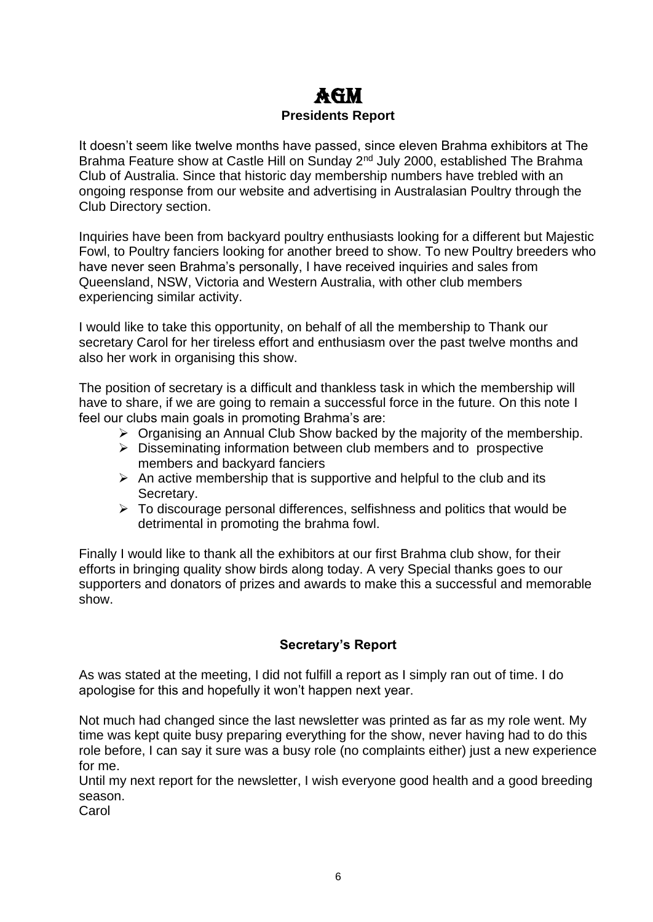## AGM **Presidents Report**

It doesn't seem like twelve months have passed, since eleven Brahma exhibitors at The Brahma Feature show at Castle Hill on Sunday 2<sup>nd</sup> July 2000, established The Brahma Club of Australia. Since that historic day membership numbers have trebled with an ongoing response from our website and advertising in Australasian Poultry through the Club Directory section.

Inquiries have been from backyard poultry enthusiasts looking for a different but Majestic Fowl, to Poultry fanciers looking for another breed to show. To new Poultry breeders who have never seen Brahma's personally, I have received inquiries and sales from Queensland, NSW, Victoria and Western Australia, with other club members experiencing similar activity.

I would like to take this opportunity, on behalf of all the membership to Thank our secretary Carol for her tireless effort and enthusiasm over the past twelve months and also her work in organising this show.

The position of secretary is a difficult and thankless task in which the membership will have to share, if we are going to remain a successful force in the future. On this note I feel our clubs main goals in promoting Brahma's are:

- ➢ Organising an Annual Club Show backed by the majority of the membership.
- ➢ Disseminating information between club members and to prospective members and backyard fanciers
- $\triangleright$  An active membership that is supportive and helpful to the club and its Secretary.
- $\triangleright$  To discourage personal differences, selfishness and politics that would be detrimental in promoting the brahma fowl.

Finally I would like to thank all the exhibitors at our first Brahma club show, for their efforts in bringing quality show birds along today. A very Special thanks goes to our supporters and donators of prizes and awards to make this a successful and memorable show.

## **Secretary's Report**

As was stated at the meeting, I did not fulfill a report as I simply ran out of time. I do apologise for this and hopefully it won't happen next year.

Not much had changed since the last newsletter was printed as far as my role went. My time was kept quite busy preparing everything for the show, never having had to do this role before, I can say it sure was a busy role (no complaints either) just a new experience for me.

Until my next report for the newsletter, I wish everyone good health and a good breeding season.

**Carol**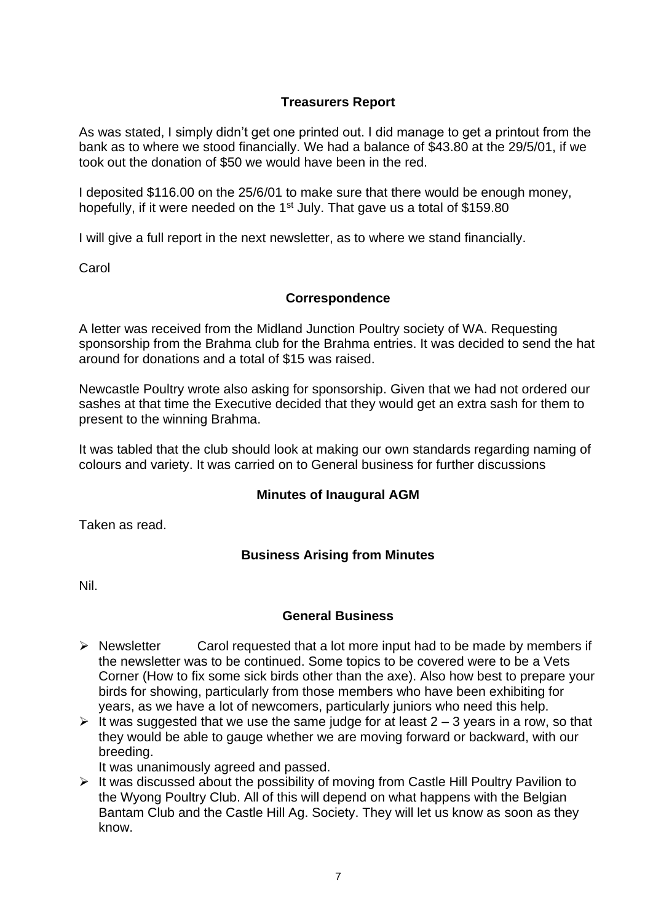## **Treasurers Report**

As was stated, I simply didn't get one printed out. I did manage to get a printout from the bank as to where we stood financially. We had a balance of \$43.80 at the 29/5/01, if we took out the donation of \$50 we would have been in the red.

I deposited \$116.00 on the 25/6/01 to make sure that there would be enough money, hopefully, if it were needed on the  $1<sup>st</sup>$  July. That gave us a total of \$159.80

I will give a full report in the next newsletter, as to where we stand financially.

**Carol** 

### **Correspondence**

A letter was received from the Midland Junction Poultry society of WA. Requesting sponsorship from the Brahma club for the Brahma entries. It was decided to send the hat around for donations and a total of \$15 was raised.

Newcastle Poultry wrote also asking for sponsorship. Given that we had not ordered our sashes at that time the Executive decided that they would get an extra sash for them to present to the winning Brahma.

It was tabled that the club should look at making our own standards regarding naming of colours and variety. It was carried on to General business for further discussions

### **Minutes of Inaugural AGM**

Taken as read.

## **Business Arising from Minutes**

Nil.

### **General Business**

- ➢ Newsletter Carol requested that a lot more input had to be made by members if the newsletter was to be continued. Some topics to be covered were to be a Vets Corner (How to fix some sick birds other than the axe). Also how best to prepare your birds for showing, particularly from those members who have been exhibiting for years, as we have a lot of newcomers, particularly juniors who need this help.
- $\triangleright$  It was suggested that we use the same judge for at least 2 3 years in a row, so that they would be able to gauge whether we are moving forward or backward, with our breeding.

It was unanimously agreed and passed.

➢ It was discussed about the possibility of moving from Castle Hill Poultry Pavilion to the Wyong Poultry Club. All of this will depend on what happens with the Belgian Bantam Club and the Castle Hill Ag. Society. They will let us know as soon as they know.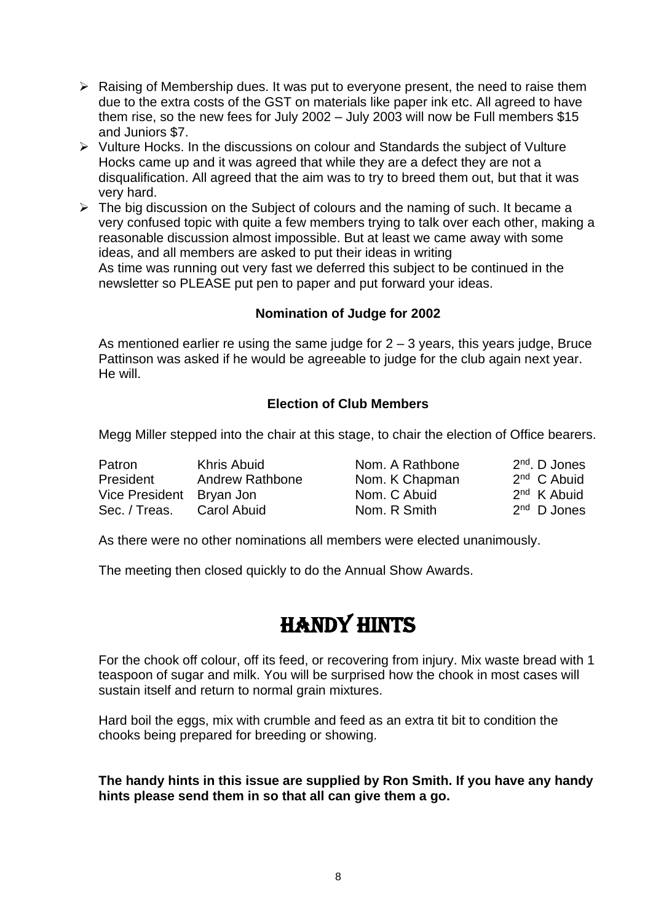- ➢ Raising of Membership dues. It was put to everyone present, the need to raise them due to the extra costs of the GST on materials like paper ink etc. All agreed to have them rise, so the new fees for July 2002 – July 2003 will now be Full members \$15 and Juniors \$7.
- ➢ Vulture Hocks. In the discussions on colour and Standards the subject of Vulture Hocks came up and it was agreed that while they are a defect they are not a disqualification. All agreed that the aim was to try to breed them out, but that it was very hard.
- ➢ The big discussion on the Subject of colours and the naming of such. It became a very confused topic with quite a few members trying to talk over each other, making a reasonable discussion almost impossible. But at least we came away with some ideas, and all members are asked to put their ideas in writing As time was running out very fast we deferred this subject to be continued in the newsletter so PLEASE put pen to paper and put forward your ideas.

## **Nomination of Judge for 2002**

As mentioned earlier re using the same judge for  $2 - 3$  years, this years judge, Bruce Pattinson was asked if he would be agreeable to judge for the club again next year. He will.

## **Election of Club Members**

Megg Miller stepped into the chair at this stage, to chair the election of Office bearers.

| Patron                   | Khris Abuid     | Nom. A Rathbone | $2nd$ . D Jones |
|--------------------------|-----------------|-----------------|-----------------|
| President                | Andrew Rathbone | Nom. K Chapman  | $2nd$ C Abuid   |
| Vice President Bryan Jon |                 | Nom. C Abuid    | $2nd$ K Abuid   |
| Sec. / Treas.            | Carol Abuid     | Nom. R Smith    | $2nd$ D Jones   |

As there were no other nominations all members were elected unanimously.

The meeting then closed quickly to do the Annual Show Awards.

## Handy hints

For the chook off colour, off its feed, or recovering from injury. Mix waste bread with 1 teaspoon of sugar and milk. You will be surprised how the chook in most cases will sustain itself and return to normal grain mixtures.

Hard boil the eggs, mix with crumble and feed as an extra tit bit to condition the chooks being prepared for breeding or showing.

### **The handy hints in this issue are supplied by Ron Smith. If you have any handy hints please send them in so that all can give them a go.**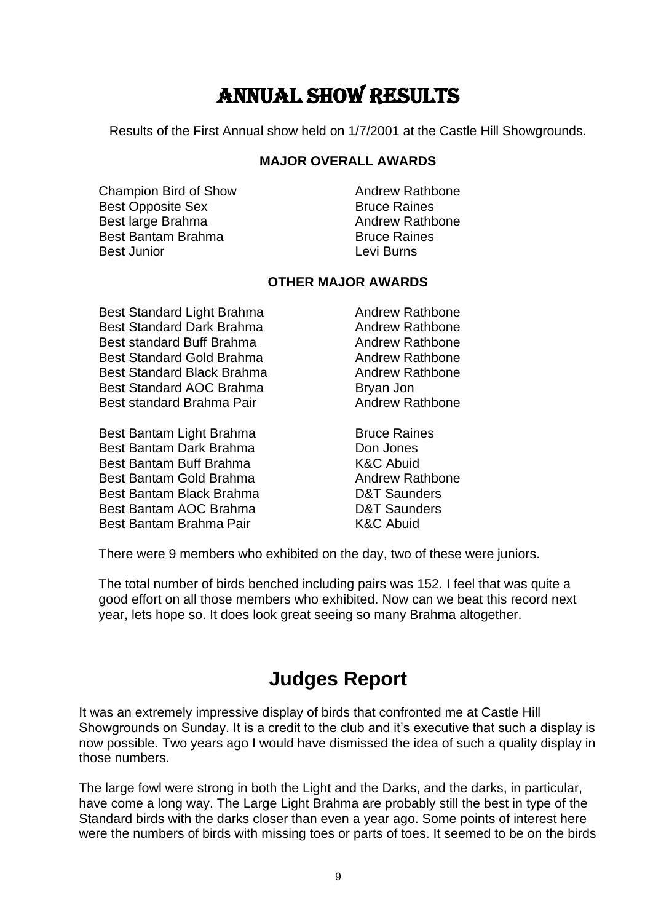## Annual show results

Results of the First Annual show held on 1/7/2001 at the Castle Hill Showgrounds.

#### **MAJOR OVERALL AWARDS**

Champion Bird of Show **Andrew Rathbone** Best Opposite Sex Bruce Raines Best large Brahma Andrew Rathbone Best Bantam Brahma Bruce Raines Best Junior Levi Burns

### **OTHER MAJOR AWARDS**

Best Standard Light Brahma **Andrew Rathbone** Best Standard Dark Brahma Andrew Rathbone Best standard Buff Brahma Andrew Rathbone Best Standard Gold Brahma **Andrew Rathbone** Best Standard Black Brahma **Andrew Rathbone** Best Standard AOC Brahma Bryan Jon Best standard Brahma Pair **Andrew Rathbone** 

Best Bantam Light Brahma<br>
Bruce Raines Best Bantam Dark Brahma **Don Don Jones** Best Bantam Buff Brahma K&C Abuid Best Bantam Gold Brahma **Andrew Rathbone** Best Bantam Black Brahma **D&T** Saunders Best Bantam AOC Brahma D&T Saunders Best Bantam Brahma Pair **K&C** Abuid

There were 9 members who exhibited on the day, two of these were juniors.

The total number of birds benched including pairs was 152. I feel that was quite a good effort on all those members who exhibited. Now can we beat this record next year, lets hope so. It does look great seeing so many Brahma altogether.

## **Judges Report**

It was an extremely impressive display of birds that confronted me at Castle Hill Showgrounds on Sunday. It is a credit to the club and it's executive that such a display is now possible. Two years ago I would have dismissed the idea of such a quality display in those numbers.

The large fowl were strong in both the Light and the Darks, and the darks, in particular, have come a long way. The Large Light Brahma are probably still the best in type of the Standard birds with the darks closer than even a year ago. Some points of interest here were the numbers of birds with missing toes or parts of toes. It seemed to be on the birds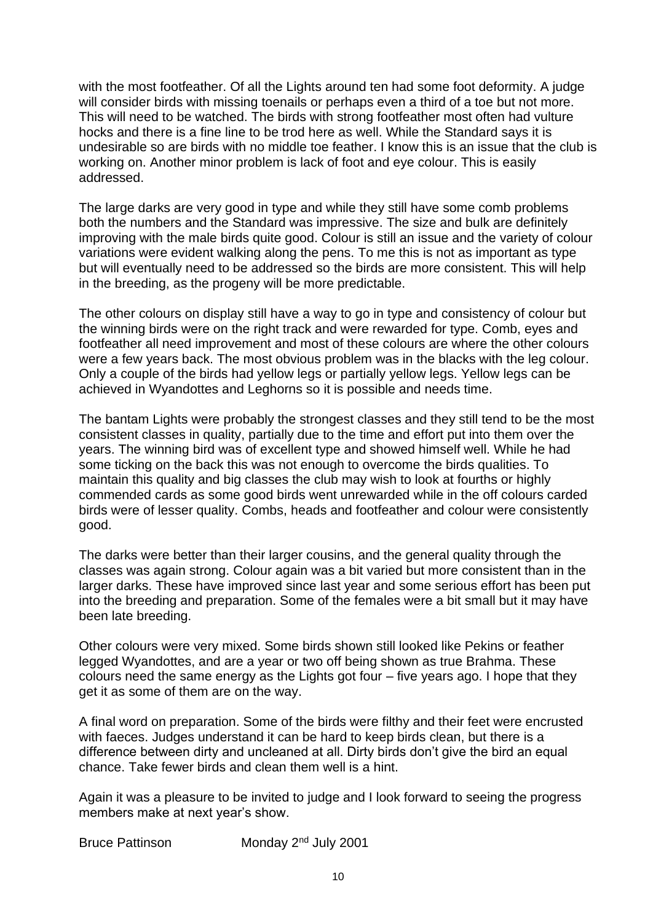with the most footfeather. Of all the Lights around ten had some foot deformity. A judge will consider birds with missing toenails or perhaps even a third of a toe but not more. This will need to be watched. The birds with strong footfeather most often had vulture hocks and there is a fine line to be trod here as well. While the Standard says it is undesirable so are birds with no middle toe feather. I know this is an issue that the club is working on. Another minor problem is lack of foot and eye colour. This is easily addressed.

The large darks are very good in type and while they still have some comb problems both the numbers and the Standard was impressive. The size and bulk are definitely improving with the male birds quite good. Colour is still an issue and the variety of colour variations were evident walking along the pens. To me this is not as important as type but will eventually need to be addressed so the birds are more consistent. This will help in the breeding, as the progeny will be more predictable.

The other colours on display still have a way to go in type and consistency of colour but the winning birds were on the right track and were rewarded for type. Comb, eyes and footfeather all need improvement and most of these colours are where the other colours were a few years back. The most obvious problem was in the blacks with the leg colour. Only a couple of the birds had yellow legs or partially yellow legs. Yellow legs can be achieved in Wyandottes and Leghorns so it is possible and needs time.

The bantam Lights were probably the strongest classes and they still tend to be the most consistent classes in quality, partially due to the time and effort put into them over the years. The winning bird was of excellent type and showed himself well. While he had some ticking on the back this was not enough to overcome the birds qualities. To maintain this quality and big classes the club may wish to look at fourths or highly commended cards as some good birds went unrewarded while in the off colours carded birds were of lesser quality. Combs, heads and footfeather and colour were consistently good.

The darks were better than their larger cousins, and the general quality through the classes was again strong. Colour again was a bit varied but more consistent than in the larger darks. These have improved since last year and some serious effort has been put into the breeding and preparation. Some of the females were a bit small but it may have been late breeding.

Other colours were very mixed. Some birds shown still looked like Pekins or feather legged Wyandottes, and are a year or two off being shown as true Brahma. These colours need the same energy as the Lights got four – five years ago. I hope that they get it as some of them are on the way.

A final word on preparation. Some of the birds were filthy and their feet were encrusted with faeces. Judges understand it can be hard to keep birds clean, but there is a difference between dirty and uncleaned at all. Dirty birds don't give the bird an equal chance. Take fewer birds and clean them well is a hint.

Again it was a pleasure to be invited to judge and I look forward to seeing the progress members make at next year's show.

Bruce Pattinson Monday 2<sup>nd</sup> July 2001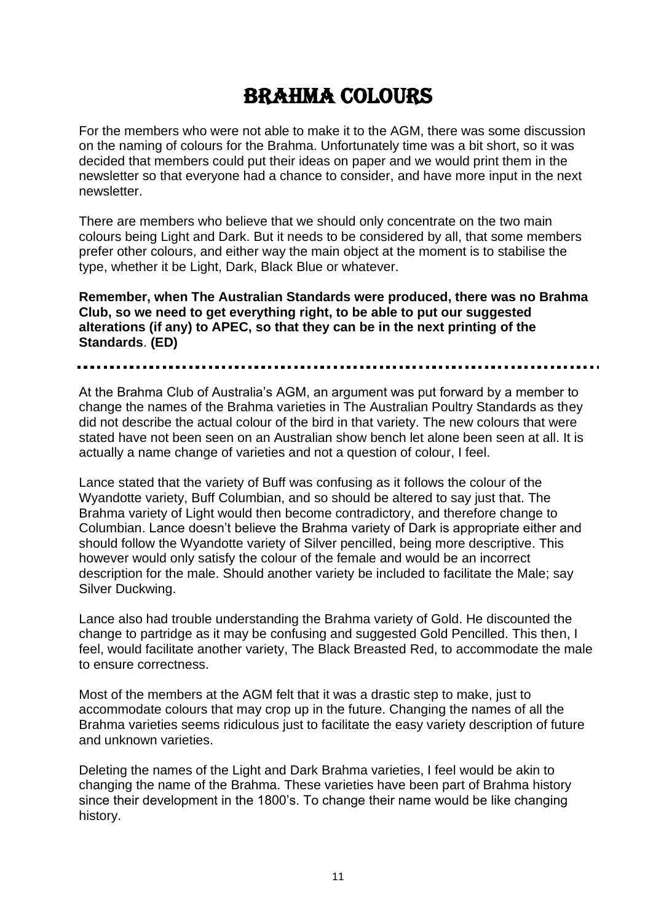## Brahma colours

For the members who were not able to make it to the AGM, there was some discussion on the naming of colours for the Brahma. Unfortunately time was a bit short, so it was decided that members could put their ideas on paper and we would print them in the newsletter so that everyone had a chance to consider, and have more input in the next newsletter.

There are members who believe that we should only concentrate on the two main colours being Light and Dark. But it needs to be considered by all, that some members prefer other colours, and either way the main object at the moment is to stabilise the type, whether it be Light, Dark, Black Blue or whatever.

**Remember, when The Australian Standards were produced, there was no Brahma Club, so we need to get everything right, to be able to put our suggested alterations (if any) to APEC, so that they can be in the next printing of the Standards**. **(ED)**

At the Brahma Club of Australia's AGM, an argument was put forward by a member to change the names of the Brahma varieties in The Australian Poultry Standards as they did not describe the actual colour of the bird in that variety. The new colours that were stated have not been seen on an Australian show bench let alone been seen at all. It is actually a name change of varieties and not a question of colour, I feel.

Lance stated that the variety of Buff was confusing as it follows the colour of the Wyandotte variety, Buff Columbian, and so should be altered to say just that. The Brahma variety of Light would then become contradictory, and therefore change to Columbian. Lance doesn't believe the Brahma variety of Dark is appropriate either and should follow the Wyandotte variety of Silver pencilled, being more descriptive. This however would only satisfy the colour of the female and would be an incorrect description for the male. Should another variety be included to facilitate the Male; say Silver Duckwing.

Lance also had trouble understanding the Brahma variety of Gold. He discounted the change to partridge as it may be confusing and suggested Gold Pencilled. This then, I feel, would facilitate another variety, The Black Breasted Red, to accommodate the male to ensure correctness.

Most of the members at the AGM felt that it was a drastic step to make, just to accommodate colours that may crop up in the future. Changing the names of all the Brahma varieties seems ridiculous just to facilitate the easy variety description of future and unknown varieties.

Deleting the names of the Light and Dark Brahma varieties, I feel would be akin to changing the name of the Brahma. These varieties have been part of Brahma history since their development in the 1800's. To change their name would be like changing history.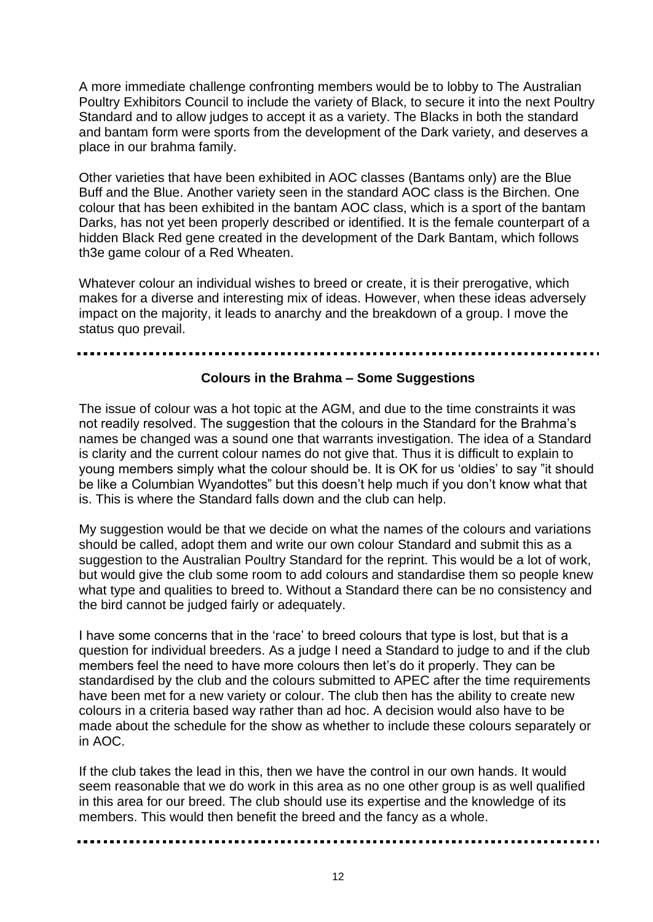A more immediate challenge confronting members would be to lobby to The Australian Poultry Exhibitors Council to include the variety of Black, to secure it into the next Poultry Standard and to allow judges to accept it as a variety. The Blacks in both the standard and bantam form were sports from the development of the Dark variety, and deserves a place in our brahma family.

Other varieties that have been exhibited in AOC classes (Bantams only) are the Blue Buff and the Blue. Another variety seen in the standard AOC class is the Birchen. One colour that has been exhibited in the bantam AOC class, which is a sport of the bantam Darks, has not yet been properly described or identified. It is the female counterpart of a hidden Black Red gene created in the development of the Dark Bantam, which follows th3e game colour of a Red Wheaten.

Whatever colour an individual wishes to breed or create, it is their prerogative, which makes for a diverse and interesting mix of ideas. However, when these ideas adversely impact on the majority, it leads to anarchy and the breakdown of a group. I move the status quo prevail.

#### **Colours in the Brahma – Some Suggestions**

The issue of colour was a hot topic at the AGM, and due to the time constraints it was not readily resolved. The suggestion that the colours in the Standard for the Brahma's names be changed was a sound one that warrants investigation. The idea of a Standard is clarity and the current colour names do not give that. Thus it is difficult to explain to young members simply what the colour should be. It is OK for us 'oldies' to say "it should be like a Columbian Wyandottes" but this doesn't help much if you don't know what that is. This is where the Standard falls down and the club can help.

My suggestion would be that we decide on what the names of the colours and variations should be called, adopt them and write our own colour Standard and submit this as a suggestion to the Australian Poultry Standard for the reprint. This would be a lot of work, but would give the club some room to add colours and standardise them so people knew what type and qualities to breed to. Without a Standard there can be no consistency and the bird cannot be judged fairly or adequately.

I have some concerns that in the 'race' to breed colours that type is lost, but that is a question for individual breeders. As a judge I need a Standard to judge to and if the club members feel the need to have more colours then let's do it properly. They can be standardised by the club and the colours submitted to APEC after the time requirements have been met for a new variety or colour. The club then has the ability to create new colours in a criteria based way rather than ad hoc. A decision would also have to be made about the schedule for the show as whether to include these colours separately or in AOC.

If the club takes the lead in this, then we have the control in our own hands. It would seem reasonable that we do work in this area as no one other group is as well qualified in this area for our breed. The club should use its expertise and the knowledge of its members. This would then benefit the breed and the fancy as a whole.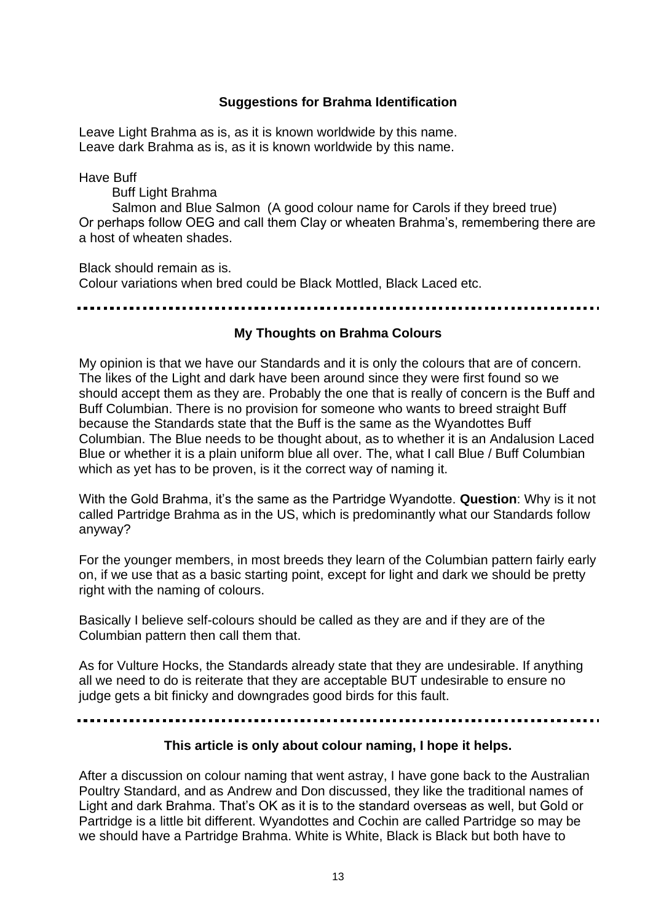## **Suggestions for Brahma Identification**

Leave Light Brahma as is, as it is known worldwide by this name. Leave dark Brahma as is, as it is known worldwide by this name.

Have Buff

Buff Light Brahma

 Salmon and Blue Salmon (A good colour name for Carols if they breed true) Or perhaps follow OEG and call them Clay or wheaten Brahma's, remembering there are a host of wheaten shades.

Black should remain as is. Colour variations when bred could be Black Mottled, Black Laced etc.

### **My Thoughts on Brahma Colours**

My opinion is that we have our Standards and it is only the colours that are of concern. The likes of the Light and dark have been around since they were first found so we should accept them as they are. Probably the one that is really of concern is the Buff and Buff Columbian. There is no provision for someone who wants to breed straight Buff because the Standards state that the Buff is the same as the Wyandottes Buff Columbian. The Blue needs to be thought about, as to whether it is an Andalusion Laced Blue or whether it is a plain uniform blue all over. The, what I call Blue / Buff Columbian which as yet has to be proven, is it the correct way of naming it.

With the Gold Brahma, it's the same as the Partridge Wyandotte. **Question**: Why is it not called Partridge Brahma as in the US, which is predominantly what our Standards follow anyway?

For the younger members, in most breeds they learn of the Columbian pattern fairly early on, if we use that as a basic starting point, except for light and dark we should be pretty right with the naming of colours.

Basically I believe self-colours should be called as they are and if they are of the Columbian pattern then call them that.

As for Vulture Hocks, the Standards already state that they are undesirable. If anything all we need to do is reiterate that they are acceptable BUT undesirable to ensure no judge gets a bit finicky and downgrades good birds for this fault.

### **This article is only about colour naming, I hope it helps.**

After a discussion on colour naming that went astray, I have gone back to the Australian Poultry Standard, and as Andrew and Don discussed, they like the traditional names of Light and dark Brahma. That's OK as it is to the standard overseas as well, but Gold or Partridge is a little bit different. Wyandottes and Cochin are called Partridge so may be we should have a Partridge Brahma. White is White, Black is Black but both have to